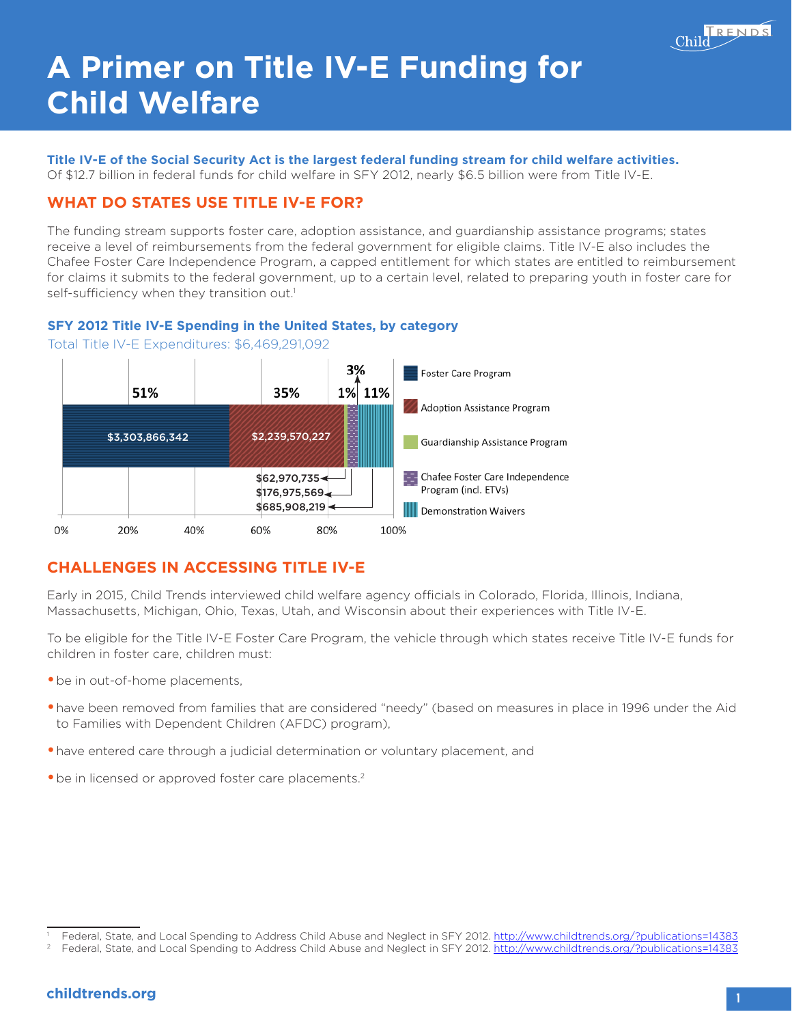

# **A Primer on Title IV-E Funding for Child Welfare**

# Title IV-E of the Social Security Act is the largest federal funding stream for child welfare activities.<br>Of \$12.7 billion in federal funds for child welfare in SFY 2012. nearly \$6.5 billion were from Title IV-E.

Of \$12.7 billion in federal funds for child welfare in SFY 2012, nearly \$6.5 billion were from Title IV-E.

# **Brief WHAT DO STATES USE TITLE IV-E FOR?**

**WHAI DO SIAIES USE IIILE IV-E FOR?**<br>The funding stream supports foster care, adoption assistance, and guardianship assistance programs; states receive a level of reimbursements from the federal government for eligible claims. Title IV-E also includes the Chafee Foster Care Independence Program, a capped entitlement for which states are entitled to reimbursement for claims it submits to the federal government, up to a certain level, related to preparing youth in foster care for self-sufficiency when they transition out.<sup>1</sup>

#### **SFY 2012 Title IV-E Spending in the United States, by category**



Total Title IV-E Expenditures: \$6,469,291,092

## **CHALLENGES IN ACCESSING TITLE IV-E**

Early in 2015, Child Trends interviewed child welfare agency officials in Colorado, Florida, Illinois, Indiana, Massachusetts, Michigan, Ohio, Texas, Utah, and Wisconsin about their experiences with Title IV-E.

To be eligible for the Title IV-E Foster Care Program, the vehicle through which states receive Title IV-E funds for children in foster care, children must:

- **•**be in out-of-home placements,
- **•**have been removed from families that are considered "needy" (based on measures in place in 1996 under the Aid to Families with Dependent Children (AFDC) program),
- **•**have entered care through a judicial determination or voluntary placement, and
- be in licensed or approved foster care placements.<sup>2</sup>

<sup>1</sup> Federal, State, and Local Spending to Address Child Abuse and Neglect in SFY 2012. <http://www.childtrends.org/?publications=14383>

<sup>2</sup> Federal, State, and Local Spending to Address Child Abuse and Neglect in SFY 2012. <http://www.childtrends.org/?publications=14383>